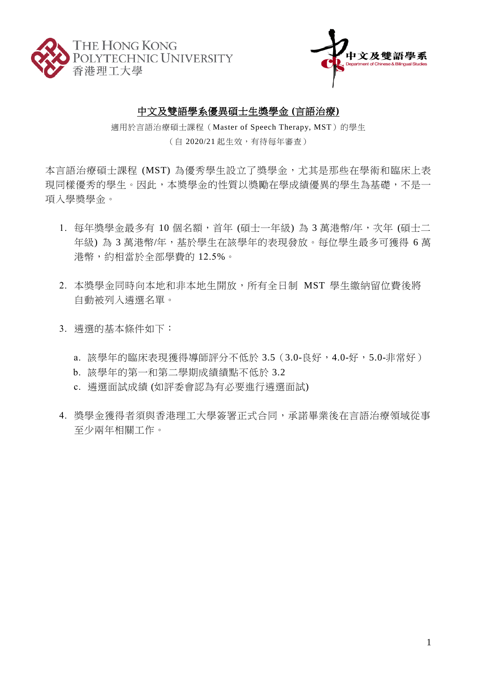



## 中文及雙語學系優異碩士生獎學金 **(**言語治療**)**

適用於言語治療碩士課程(Master of Speech Therapy, MST)的學生 (自 2020/21 起生效,有待每年審查)

本言語治療碩士課程 (MST) 為優秀學生設立了獎學金,尤其是那些在學術和臨床上表 現同樣優秀的學生。因此,本獎學金的性質以獎勵在學成績優異的學生為基礎,不是一 項入學奬學金。

- 1. 每年獎學金最多有 10個名額,首年 (碩士一年級)為 3 萬港幣/年,次年 (碩士二 年級) 為 3 萬港幣/年,基於學生在該學年的表現發放。每位學生最多可獲得 6 萬 港幣,約相當於全部學費的 12.5%。
- 2. 本獎學金同時向本地和非本地生開放,所有全日制 MST 學生繳納留位費後將 自動被列入遴選名單。
- 3. 遴選的基本條件如下:
	- a. 該學年的臨床表現獲得導師評分不低於 3.5 (3.0-良好,4.0-好,5.0-非常好)
	- b. 該學年的第一和第二學期成績績點不低於 3.2
	- c. 遴選面試成績 (如評委會認為有必要進行遴選面試)
- 4. 獎學金獲得者須與香港理工大學簽署正式合同,承諾畢業後在言語治療領域從事 至少兩年相關工作。